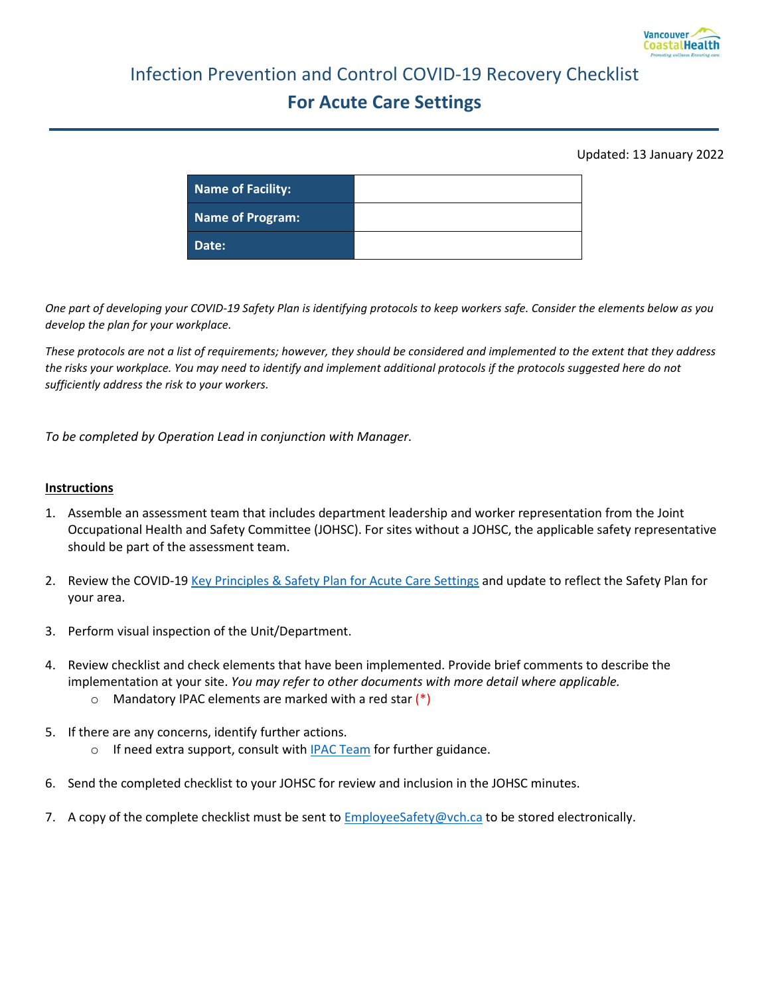

# Infection Prevention and Control COVID-19 Recovery Checklist **For Acute Care Settings**

#### Updated: 13 January 2022

| Name of Facility: |  |
|-------------------|--|
| Name of Program:  |  |
| Date:             |  |

*One part of developing your COVID-19 Safety Plan is identifying protocols to keep workers safe. Consider the elements below as you develop the plan for your workplace.*

*These protocols are not a list of requirements; however, they should be considered and implemented to the extent that they address the risks your workplace. You may need to identify and implement additional protocols if the protocols suggested here do not sufficiently address the risk to your workers.* 

*To be completed by Operation Lead in conjunction with Manager.*

#### **Instructions**

- 1. Assemble an assessment team that includes department leadership and worker representation from the Joint Occupational Health and Safety Committee (JOHSC). For sites without a JOHSC, the applicable safety representative should be part of the assessment team.
- 2. Review the COVID-19 [Key Principles & Safety Plan for Acute Care Settings](http://ipac.vch.ca/Documents/COVID-19/Recovery%20Resources/Acute/Public%20Health%20and%20Infection%20Control%20Key%20Principles_Acute.pdf) and update to reflect the Safety Plan for your area.
- 3. Perform visual inspection of the Unit/Department.
- 4. Review checklist and check elements that have been implemented. Provide brief comments to describe the implementation at your site. *You may refer to other documents with more detail where applicable.*
	- $\circ$  Mandatory IPAC elements are marked with a red star  $(*)$
- 5. If there are any concerns, identify further actions.
	- $\circ$  If need extra support, consult wit[h IPAC Team](http://ipac.vch.ca/contact-us) for further guidance.
- 6. Send the completed checklist to your JOHSC for review and inclusion in the JOHSC minutes.
- 7. A copy of the complete checklist must be sent to **EmployeeSafety@vch.ca** to be stored electronically.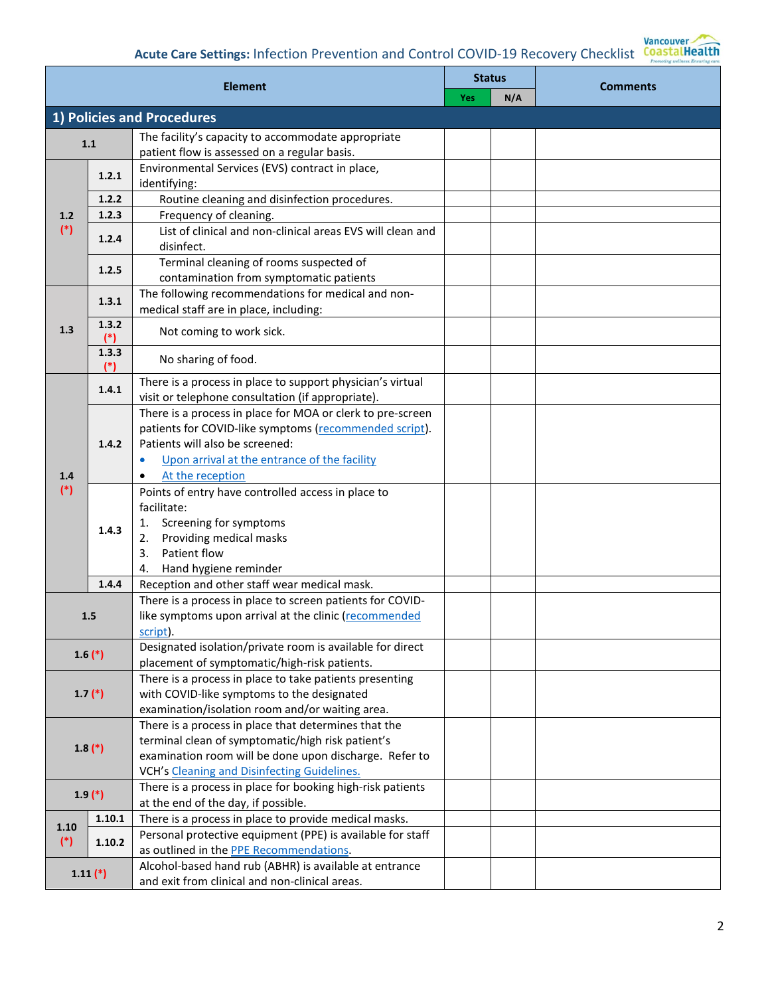| <b>Element</b> |                | <b>Status</b>                                                                                                                                                                                                      |     | <b>Comments</b> |  |
|----------------|----------------|--------------------------------------------------------------------------------------------------------------------------------------------------------------------------------------------------------------------|-----|-----------------|--|
|                |                | <b>Yes</b>                                                                                                                                                                                                         | N/A |                 |  |
|                |                | 1) Policies and Procedures                                                                                                                                                                                         |     |                 |  |
|                | 1.1            | The facility's capacity to accommodate appropriate                                                                                                                                                                 |     |                 |  |
|                |                | patient flow is assessed on a regular basis.                                                                                                                                                                       |     |                 |  |
|                | 1.2.1          | Environmental Services (EVS) contract in place,<br>identifying:                                                                                                                                                    |     |                 |  |
|                | 1.2.2          | Routine cleaning and disinfection procedures.                                                                                                                                                                      |     |                 |  |
| 1.2            | 1.2.3          | Frequency of cleaning.                                                                                                                                                                                             |     |                 |  |
| $(*)$          | 1.2.4          | List of clinical and non-clinical areas EVS will clean and<br>disinfect.                                                                                                                                           |     |                 |  |
|                | 1.2.5          | Terminal cleaning of rooms suspected of<br>contamination from symptomatic patients                                                                                                                                 |     |                 |  |
| 1.3            | 1.3.1          | The following recommendations for medical and non-<br>medical staff are in place, including:                                                                                                                       |     |                 |  |
|                | 1.3.2<br>$(*)$ | Not coming to work sick.                                                                                                                                                                                           |     |                 |  |
|                | 1.3.3<br>$(*)$ | No sharing of food.                                                                                                                                                                                                |     |                 |  |
|                | 1.4.1          | There is a process in place to support physician's virtual<br>visit or telephone consultation (if appropriate).                                                                                                    |     |                 |  |
|                | 1.4.2          | There is a process in place for MOA or clerk to pre-screen<br>patients for COVID-like symptoms (recommended script).<br>Patients will also be screened:                                                            |     |                 |  |
| 1.4            |                | Upon arrival at the entrance of the facility<br>$\bullet$<br>At the reception                                                                                                                                      |     |                 |  |
| $(*)$          | 1.4.3          | Points of entry have controlled access in place to<br>facilitate:<br>Screening for symptoms<br>1.<br>Providing medical masks<br>2.<br>Patient flow<br>3.<br>Hand hygiene reminder<br>4.                            |     |                 |  |
|                | 1.4.4          | Reception and other staff wear medical mask.                                                                                                                                                                       |     |                 |  |
|                | 1.5            | There is a process in place to screen patients for COVID-<br>like symptoms upon arrival at the clinic (recommended<br>script).                                                                                     |     |                 |  |
| $1.6(*)$       |                | Designated isolation/private room is available for direct<br>placement of symptomatic/high-risk patients.                                                                                                          |     |                 |  |
|                | $1.7$ $(*)$    | There is a process in place to take patients presenting<br>with COVID-like symptoms to the designated<br>examination/isolation room and/or waiting area.                                                           |     |                 |  |
| $1.8(*)$       |                | There is a process in place that determines that the<br>terminal clean of symptomatic/high risk patient's<br>examination room will be done upon discharge. Refer to<br>VCH's Cleaning and Disinfecting Guidelines. |     |                 |  |
| $1.9(*)$       |                | There is a process in place for booking high-risk patients<br>at the end of the day, if possible.                                                                                                                  |     |                 |  |
| 1.10<br>$(*)$  | 1.10.1         | There is a process in place to provide medical masks.                                                                                                                                                              |     |                 |  |
|                | 1.10.2         | Personal protective equipment (PPE) is available for staff<br>as outlined in the PPE Recommendations.                                                                                                              |     |                 |  |
|                | $1.11$ $(*)$   | Alcohol-based hand rub (ABHR) is available at entrance<br>and exit from clinical and non-clinical areas.                                                                                                           |     |                 |  |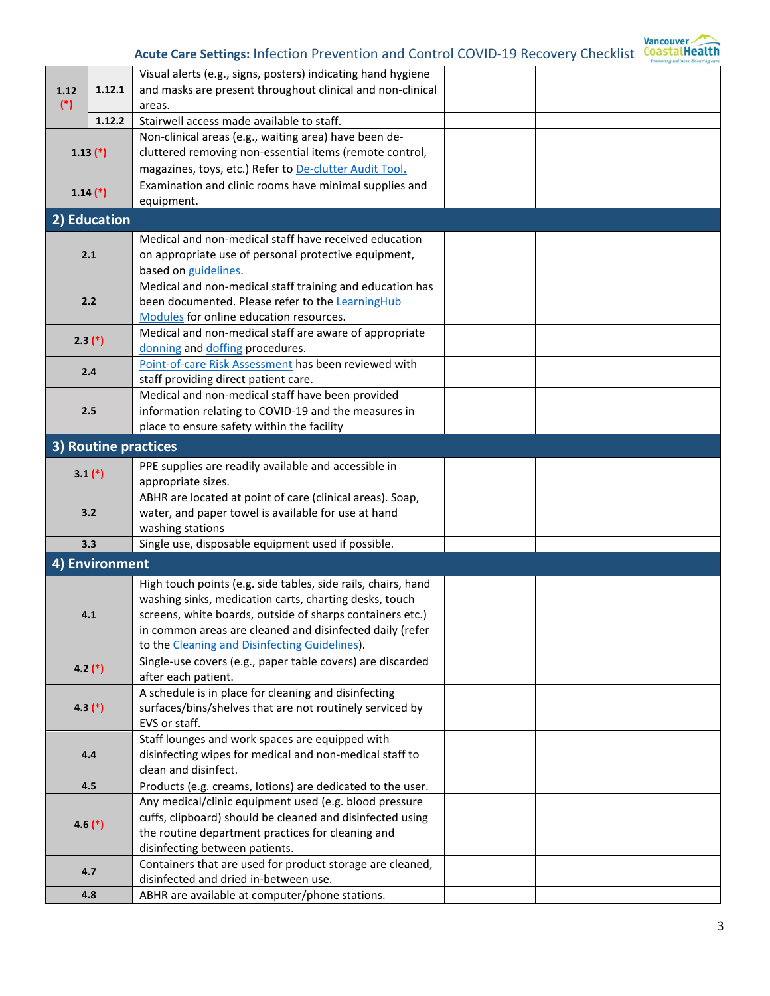

| 1.12<br>$(*)$ |                | Visual alerts (e.g., signs, posters) indicating hand hygiene                |  |  |
|---------------|----------------|-----------------------------------------------------------------------------|--|--|
|               | 1.12.1         | and masks are present throughout clinical and non-clinical                  |  |  |
|               |                | areas.                                                                      |  |  |
|               | 1.12.2         | Stairwell access made available to staff.                                   |  |  |
|               |                | Non-clinical areas (e.g., waiting area) have been de-                       |  |  |
|               | $1.13$ $(*)$   | cluttered removing non-essential items (remote control,                     |  |  |
|               |                | magazines, toys, etc.) Refer to De-clutter Audit Tool.                      |  |  |
|               | $1.14$ $(*)$   | Examination and clinic rooms have minimal supplies and                      |  |  |
|               |                | equipment.                                                                  |  |  |
|               | 2) Education   |                                                                             |  |  |
|               |                | Medical and non-medical staff have received education                       |  |  |
|               | 2.1            | on appropriate use of personal protective equipment,                        |  |  |
|               |                | based on guidelines.                                                        |  |  |
|               |                | Medical and non-medical staff training and education has                    |  |  |
|               | 2.2            | been documented. Please refer to the LearningHub                            |  |  |
|               |                | Modules for online education resources.                                     |  |  |
|               | $2.3(*)$       | Medical and non-medical staff are aware of appropriate                      |  |  |
|               |                | donning and doffing procedures.                                             |  |  |
|               | 2.4            | Point-of-care Risk Assessment has been reviewed with                        |  |  |
|               |                | staff providing direct patient care.                                        |  |  |
| 2.5           |                | Medical and non-medical staff have been provided                            |  |  |
|               |                | information relating to COVID-19 and the measures in                        |  |  |
|               |                | place to ensure safety within the facility                                  |  |  |
|               |                | 3) Routine practices                                                        |  |  |
|               | $3.1$ (*)      | PPE supplies are readily available and accessible in                        |  |  |
|               |                | appropriate sizes.                                                          |  |  |
|               |                | ABHR are located at point of care (clinical areas). Soap,                   |  |  |
| 3.2           |                | water, and paper towel is available for use at hand                         |  |  |
|               |                | washing stations                                                            |  |  |
|               | 3.3            | Single use, disposable equipment used if possible.                          |  |  |
|               | 4) Environment |                                                                             |  |  |
|               |                | High touch points (e.g. side tables, side rails, chairs, hand               |  |  |
|               |                | washing sinks, medication carts, charting desks, touch                      |  |  |
|               | 4.1            | screens, white boards, outside of sharps containers etc.)                   |  |  |
|               |                | in common areas are cleaned and disinfected daily (refer                    |  |  |
|               |                | to the Cleaning and Disinfecting Guidelines).                               |  |  |
|               | $4.2$ (*)      | Single-use covers (e.g., paper table covers) are discarded                  |  |  |
|               |                | after each patient.<br>A schedule is in place for cleaning and disinfecting |  |  |
| $4.3$ $(*)$   |                | surfaces/bins/shelves that are not routinely serviced by                    |  |  |
|               |                | EVS or staff.                                                               |  |  |
| 4.4           |                | Staff lounges and work spaces are equipped with                             |  |  |
|               |                | disinfecting wipes for medical and non-medical staff to                     |  |  |
|               |                | clean and disinfect.                                                        |  |  |
|               | 4.5            | Products (e.g. creams, lotions) are dedicated to the user.                  |  |  |
|               |                | Any medical/clinic equipment used (e.g. blood pressure                      |  |  |
| $4.6(*)$      |                | cuffs, clipboard) should be cleaned and disinfected using                   |  |  |
|               |                | the routine department practices for cleaning and                           |  |  |
|               |                | disinfecting between patients.                                              |  |  |
| 4.7           |                | Containers that are used for product storage are cleaned,                   |  |  |
|               |                | disinfected and dried in-between use.                                       |  |  |
|               | 4.8            | ABHR are available at computer/phone stations.                              |  |  |